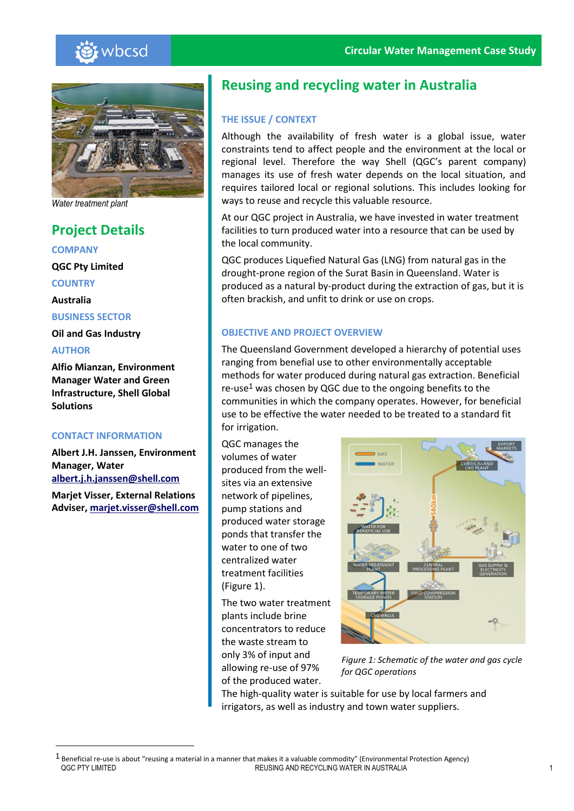



*Water treatment plant*

## **Project Details**

**COMPANY**

**QGC Pty Limited**

**COUNTRY**

**Australia**

**BUSINESS SECTOR**

**Oil and Gas Industry**

## **AUTHOR**

 $\overline{a}$ 

**Alfio Mianzan, Environment Manager Water and Green Infrastructure, Shell Global Solutions**

## **CONTACT INFORMATION**

**Albert J.H. Janssen, Environment Manager, Water [albert.j.h.janssen@shell.com](mailto:albert.j.h.janssen@shell.com)**

**Marjet Visser, External Relations Adviser, [marjet.visser@shell.com](mailto:marjet.visser@shell.com)**

# **Reusing and recycling water in Australia**

## **THE ISSUE / CONTEXT**

Although the availability of fresh water is a global issue, water constraints tend to affect people and the environment at the local or regional level. Therefore the way Shell (QGC's parent company) manages its use of fresh water depends on the local situation, and requires tailored local or regional solutions. This includes looking for ways to reuse and recycle this valuable resource.

At our QGC project in Australia, we have invested in water treatment facilities to turn produced water into a resource that can be used by the local community.

QGC produces Liquefied Natural Gas (LNG) from natural gas in the drought-prone region of the Surat Basin in Queensland. Water is produced as a natural by-product during the extraction of gas, but it is often brackish, and unfit to drink or use on crops.

## **OBJECTIVE AND PROJECT OVERVIEW**

The Queensland Government developed a hierarchy of potential uses ranging from benefial use to other environmentally acceptable methods for water produced during natural gas extraction. Beneficial re-use<sup>1</sup> was chosen by QGC due to the ongoing benefits to the communities in which the company operates. However, for beneficial use to be effective the water needed to be treated to a standard fit for irrigation.

QGC manages the volumes of water produced from the well‐ sites via an extensive network of pipelines, pump stations and produced water storage ponds that transfer the water to one of two centralized water treatment facilities (Figure 1).

The two water treatment plants include brine concentrators to reduce the waste stream to only 3% of input and allowing re-use of 97% of the produced water.



*Figure 1: Schematic of the water and gas cycle for QGC operations*

The high-quality water is suitable for use by local farmers and irrigators, as well as industry and town water suppliers.

QGC PTY LIMITED REUSING AND RECYCLING WATER IN AUSTRALIA 1 <sup>1</sup> Beneficial re-use is about "reusing a material in a manner that makes it a valuable commodity" (Environmental Protection Agency)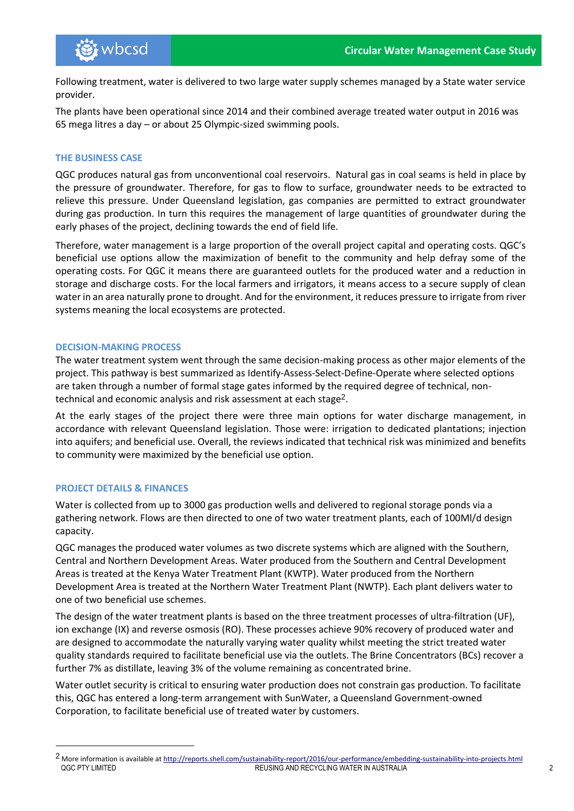Following treatment, water is delivered to two large water supply schemes managed by a State water service provider.

The plants have been operational since 2014 and their combined average treated water output in 2016 was 65 mega litres a day – or about 25 Olympic-sized swimming pools.

## **THE BUSINESS CASE**

QGC produces natural gas from unconventional coal reservoirs. Natural gas in coal seams is held in place by the pressure of groundwater. Therefore, for gas to flow to surface, groundwater needs to be extracted to relieve this pressure. Under Queensland legislation, gas companies are permitted to extract groundwater during gas production. In turn this requires the management of large quantities of groundwater during the early phases of the project, declining towards the end of field life.

Therefore, water management is a large proportion of the overall project capital and operating costs. QGC's beneficial use options allow the maximization of benefit to the community and help defray some of the operating costs. For QGC it means there are guaranteed outlets for the produced water and a reduction in storage and discharge costs. For the local farmers and irrigators, it means access to a secure supply of clean water in an area naturally prone to drought. And for the environment, it reduces pressure to irrigate from river systems meaning the local ecosystems are protected.

## **DECISION-MAKING PROCESS**

The water treatment system went through the same decision-making process as other major elements of the project. This pathway is best summarized as Identify-Assess-Select-Define-Operate where selected options are taken through a number of formal stage gates informed by the required degree of technical, nontechnical and economic analysis and risk assessment at each stage<sup>2</sup>.

At the early stages of the project there were three main options for water discharge management, in accordance with relevant Queensland legislation. Those were: irrigation to dedicated plantations; injection into aquifers; and beneficial use. Overall, the reviews indicated that technical risk was minimized and benefits to community were maximized by the beneficial use option.

## **PROJECT DETAILS & FINANCES**

 $\overline{a}$ 

Water is collected from up to 3000 gas production wells and delivered to regional storage ponds via a gathering network. Flows are then directed to one of two water treatment plants, each of 100Ml/d design capacity.

QGC manages the produced water volumes as two discrete systems which are aligned with the Southern, Central and Northern Development Areas. Water produced from the Southern and Central Development Areas is treated at the Kenya Water Treatment Plant (KWTP). Water produced from the Northern Development Area is treated at the Northern Water Treatment Plant (NWTP). Each plant delivers water to one of two beneficial use schemes.

The design of the water treatment plants is based on the three treatment processes of ultra‐filtration (UF), ion exchange (IX) and reverse osmosis (RO). These processes achieve 90% recovery of produced water and are designed to accommodate the naturally varying water quality whilst meeting the strict treated water quality standards required to facilitate beneficial use via the outlets. The Brine Concentrators (BCs) recover a further 7% as distillate, leaving 3% of the volume remaining as concentrated brine.

Water outlet security is critical to ensuring water production does not constrain gas production. To facilitate this, QGC has entered a long-term arrangement with SunWater, a Queensland Government-owned Corporation, to facilitate beneficial use of treated water by customers.

QGC PTY LIMITED **Example 2 REUSING AND RECYCLING WATER IN AUSTRALIA** 2 <sup>2</sup> More information is available a[t http://reports.shell.com/sustainability-report/2016/our-performance/embedding-sustainability-into-projects.html](http://reports.shell.com/sustainability-report/2016/our-performance/embedding-sustainability-into-projects.html)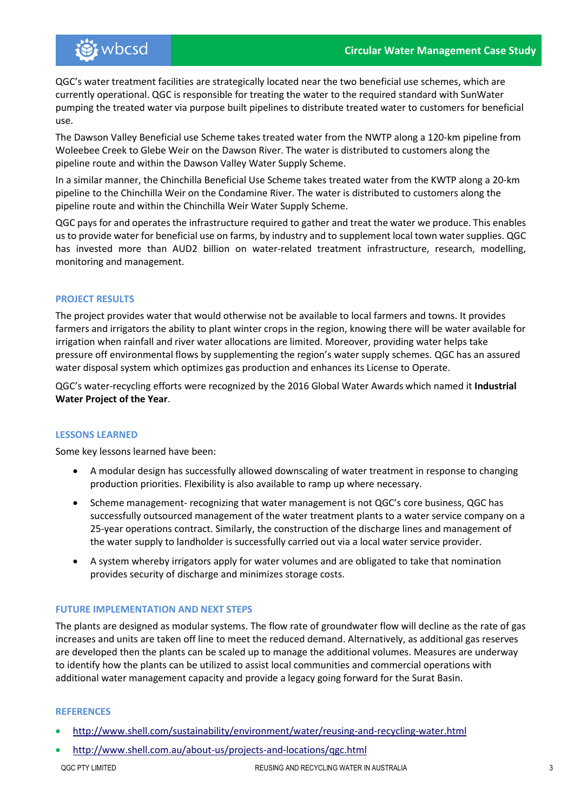QGC's water treatment facilities are strategically located near the two beneficial use schemes, which are currently operational. QGC is responsible for treating the water to the required standard with SunWater pumping the treated water via purpose built pipelines to distribute treated water to customers for beneficial use.

The Dawson Valley Beneficial use Scheme takes treated water from the NWTP along a 120-km pipeline from Woleebee Creek to Glebe Weir on the Dawson River. The water is distributed to customers along the pipeline route and within the Dawson Valley Water Supply Scheme.

In a similar manner, the Chinchilla Beneficial Use Scheme takes treated water from the KWTP along a 20-km pipeline to the Chinchilla Weir on the Condamine River. The water is distributed to customers along the pipeline route and within the Chinchilla Weir Water Supply Scheme.

QGC pays for and operates the infrastructure required to gather and treat the water we produce. This enables us to provide water for beneficial use on farms, by industry and to supplement local town water supplies. QGC has invested more than AUD2 billion on water-related treatment infrastructure, research, modelling, monitoring and management.

## **PROJECT RESULTS**

The project provides water that would otherwise not be available to local farmers and towns. It provides farmers and irrigators the ability to plant winter crops in the region, knowing there will be water available for irrigation when rainfall and river water allocations are limited. Moreover, providing water helps take pressure off environmental flows by supplementing the region's water supply schemes. QGC has an assured water disposal system which optimizes gas production and enhances its License to Operate.

QGC's water-recycling efforts were recognized by the 2016 Global Water Awards which named it **Industrial Water Project of the Year**.

## **LESSONS LEARNED**

Some key lessons learned have been:

- A modular design has successfully allowed downscaling of water treatment in response to changing production priorities. Flexibility is also available to ramp up where necessary.
- Scheme management- recognizing that water management is not QGC's core business, QGC has successfully outsourced management of the water treatment plants to a water service company on a 25-year operations contract. Similarly, the construction of the discharge lines and management of the water supply to landholder is successfully carried out via a local water service provider.
- A system whereby irrigators apply for water volumes and are obligated to take that nomination provides security of discharge and minimizes storage costs.

## **FUTURE IMPLEMENTATION AND NEXT STEPS**

The plants are designed as modular systems. The flow rate of groundwater flow will decline as the rate of gas increases and units are taken off line to meet the reduced demand. Alternatively, as additional gas reserves are developed then the plants can be scaled up to manage the additional volumes. Measures are underway to identify how the plants can be utilized to assist local communities and commercial operations with additional water management capacity and provide a legacy going forward for the Surat Basin.

## **REFERENCES**

- <http://www.shell.com/sustainability/environment/water/reusing-and-recycling-water.html>
- QGC PTY LIMITED REUSING AND RECYCLING WATER IN AUSTRALIA 3 • <http://www.shell.com.au/about-us/projects-and-locations/qgc.html>